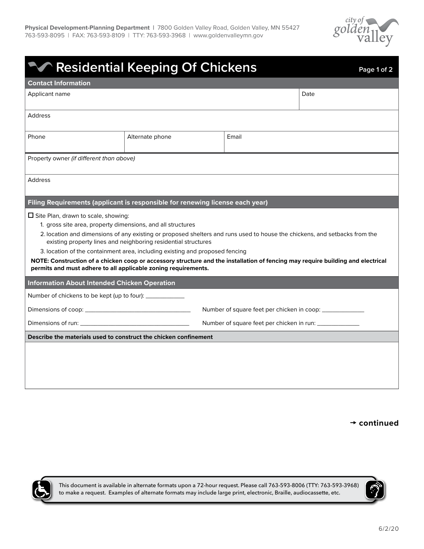

| <b>Residential Keeping Of Chickens</b><br>Page 1 of 2                                                                                                                                                                                                                                                                                                                                                                                                                                                                                                                                          |                 |                                                          |      |  |
|------------------------------------------------------------------------------------------------------------------------------------------------------------------------------------------------------------------------------------------------------------------------------------------------------------------------------------------------------------------------------------------------------------------------------------------------------------------------------------------------------------------------------------------------------------------------------------------------|-----------------|----------------------------------------------------------|------|--|
| <b>Contact Information</b>                                                                                                                                                                                                                                                                                                                                                                                                                                                                                                                                                                     |                 |                                                          |      |  |
| Applicant name                                                                                                                                                                                                                                                                                                                                                                                                                                                                                                                                                                                 |                 |                                                          | Date |  |
| Address                                                                                                                                                                                                                                                                                                                                                                                                                                                                                                                                                                                        |                 |                                                          |      |  |
| Phone                                                                                                                                                                                                                                                                                                                                                                                                                                                                                                                                                                                          | Alternate phone | Email                                                    |      |  |
| Property owner (if different than above)                                                                                                                                                                                                                                                                                                                                                                                                                                                                                                                                                       |                 |                                                          |      |  |
| Address                                                                                                                                                                                                                                                                                                                                                                                                                                                                                                                                                                                        |                 |                                                          |      |  |
| Filing Requirements (applicant is responsible for renewing license each year)                                                                                                                                                                                                                                                                                                                                                                                                                                                                                                                  |                 |                                                          |      |  |
| $\Box$ Site Plan, drawn to scale, showing:<br>1. gross site area, property dimensions, and all structures<br>2. location and dimensions of any existing or proposed shelters and runs used to house the chickens, and setbacks from the<br>existing property lines and neighboring residential structures<br>3. location of the containment area, including existing and proposed fencing<br>NOTE: Construction of a chicken coop or accessory structure and the installation of fencing may require building and electrical<br>permits and must adhere to all applicable zoning requirements. |                 |                                                          |      |  |
| <b>Information About Intended Chicken Operation</b>                                                                                                                                                                                                                                                                                                                                                                                                                                                                                                                                            |                 |                                                          |      |  |
| Number of chickens to be kept (up to four): ____________                                                                                                                                                                                                                                                                                                                                                                                                                                                                                                                                       |                 |                                                          |      |  |
|                                                                                                                                                                                                                                                                                                                                                                                                                                                                                                                                                                                                |                 |                                                          |      |  |
|                                                                                                                                                                                                                                                                                                                                                                                                                                                                                                                                                                                                |                 | Number of square feet per chicken in run: ______________ |      |  |
| Describe the materials used to construct the chicken confinement                                                                                                                                                                                                                                                                                                                                                                                                                                                                                                                               |                 |                                                          |      |  |
|                                                                                                                                                                                                                                                                                                                                                                                                                                                                                                                                                                                                |                 |                                                          |      |  |

**continued**



This document is available in alternate formats upon a 72-hour request. Please call 763-593-8006 (TTY: 763-593-3968) to make a request. Examples of alternate formats may include large print, electronic, Braille, audiocassette, etc.